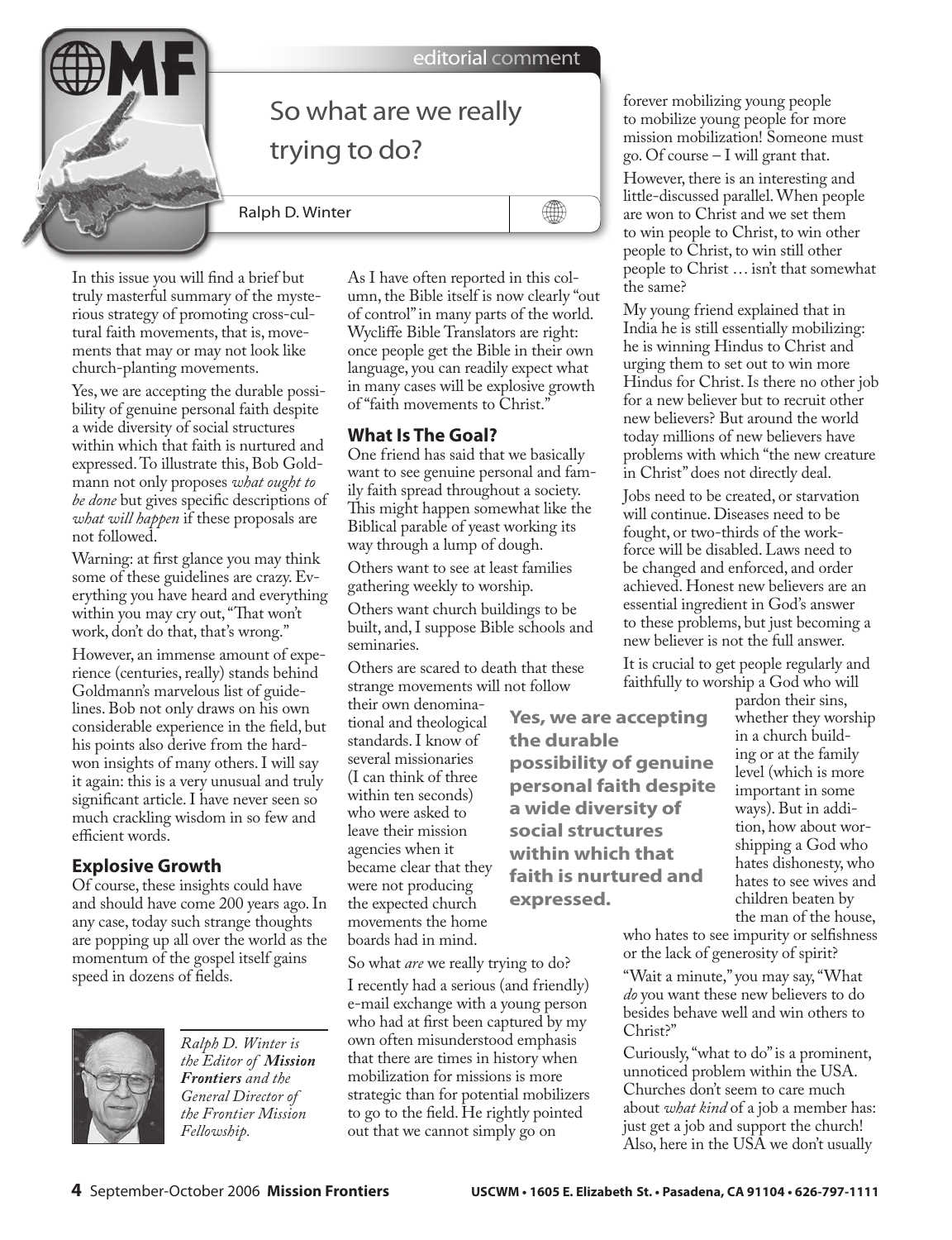

In this issue you will find a brief but truly masterful summary of the mysterious strategy of promoting cross-cultural faith movements, that is, movements that may or may not look like church-planting movements.

Yes, we are accepting the durable possibility of genuine personal faith despite a wide diversity of social structures within which that faith is nurtured and expressed. To illustrate this, Bob Goldmann not only proposes *what ought to be done* but gives specific descriptions of *what will happen* if these proposals are not followed.

Warning: at first glance you may think some of these guidelines are crazy. Everything you have heard and everything within you may cry out, "That won't work, don't do that, that's wrong."

However, an immense amount of experience (centuries, really) stands behind Goldmann's marvelous list of guidelines. Bob not only draws on his own considerable experience in the field, but his points also derive from the hardwon insights of many others. I will say it again: this is a very unusual and truly significant article. I have never seen so much crackling wisdom in so few and efficient words.

## **Explosive Growth**

Of course, these insights could have and should have come 200 years ago. In any case, today such strange thoughts are popping up all over the world as the momentum of the gospel itself gains speed in dozens of fields.



*Ralph D. Winter is the Editor of Mission Frontiers and the General Director of the Frontier Mission Fellowship.* 

As I have often reported in this column, the Bible itself is now clearly "out of control" in many parts of the world. Wycliffe Bible Translators are right: once people get the Bible in their own language, you can readily expect what in many cases will be explosive growth of "faith movements to Christ."

## **What Is The Goal?**

One friend has said that we basically want to see genuine personal and family faith spread throughout a society. This might happen somewhat like the Biblical parable of yeast working its way through a lump of dough.

Others want to see at least families gathering weekly to worship.

Others want church buildings to be built, and, I suppose Bible schools and seminaries.

Others are scared to death that these strange movements will not follow

their own denominational and theological standards. I know of several missionaries (I can think of three within ten seconds) who were asked to leave their mission agencies when it became clear that they were not producing the expected church movements the home boards had in mind.

So what *are* we really trying to do?

I recently had a serious (and friendly) e-mail exchange with a young person who had at first been captured by my own often misunderstood emphasis that there are times in history when mobilization for missions is more strategic than for potential mobilizers to go to the field. He rightly pointed out that we cannot simply go on

forever mobilizing young people to mobilize young people for more mission mobilization! Someone must go. Of course – I will grant that.

However, there is an interesting and little-discussed parallel. When people are won to Christ and we set them to win people to Christ, to win other people to Christ, to win still other people to Christ … isn't that somewhat the same?

My young friend explained that in India he is still essentially mobilizing: he is winning Hindus to Christ and urging them to set out to win more Hindus for Christ. Is there no other job for a new believer but to recruit other new believers? But around the world today millions of new believers have problems with which "the new creature in Christ" does not directly deal.

Jobs need to be created, or starvation will continue. Diseases need to be fought, or two-thirds of the workforce will be disabled. Laws need to be changed and enforced, and order achieved. Honest new believers are an essential ingredient in God's answer to these problems, but just becoming a new believer is not the full answer.

It is crucial to get people regularly and faithfully to worship a God who will

**Yes, we are accepting the durable possibility of genuine personal faith despite a wide diversity of social structures within which that faith is nurtured and expressed.**

pardon their sins, whether they worship in a church building or at the family level (which is more important in some ways). But in addition, how about worshipping a God who hates dishonesty, who hates to see wives and children beaten by the man of the house,

who hates to see impurity or selfishness or the lack of generosity of spirit?

"Wait a minute," you may say, "What *do* you want these new believers to do besides behave well and win others to Christ?"

Curiously, "what to do" is a prominent, unnoticed problem within the USA. Churches don't seem to care much about *what kind* of a job a member has: just get a job and support the church! Also, here in the USA we don't usually